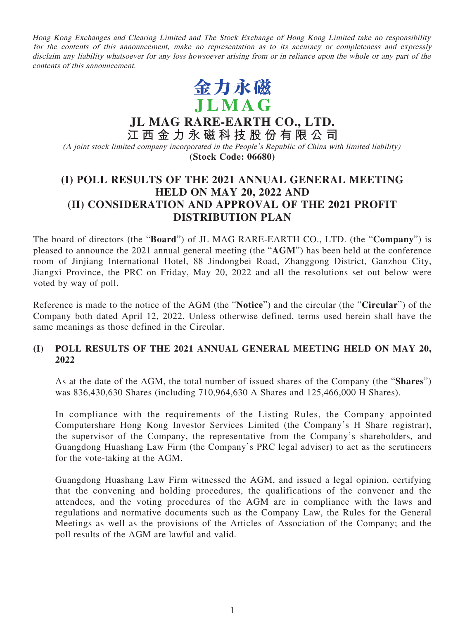Hong Kong Exchanges and Clearing Limited and The Stock Exchange of Hong Kong Limited take no responsibility for the contents of this announcement, make no representation as to its accuracy or completeness and expressly disclaim any liability whatsoever for any loss howsoever arising from or in reliance upon the whole or any part of the contents of this announcement.



**JL MAG RARE-EARTH CO., LTD. 江西金力永磁科技股份有限公司** (A joint stock limited company incorporated in the People's Republic of China with limited liability) **(Stock Code: 06680)**

# **(I) POLL RESULTS OF THE 2021 ANNUAL GENERAL MEETING HELD ON MAY 20, 2022 AND (II) CONSIDERATION AND APPROVAL OF THE 2021 PROFIT DISTRIBUTION PLAN**

The board of directors (the "**Board**") of JL MAG RARE-EARTH CO., LTD. (the "**Company**") is pleased to announce the 2021 annual general meeting (the "**AGM**") has been held at the conference room of Jinjiang International Hotel, 88 Jindongbei Road, Zhanggong District, Ganzhou City, Jiangxi Province, the PRC on Friday, May 20, 2022 and all the resolutions set out below were voted by way of poll.

Reference is made to the notice of the AGM (the "**Notice**") and the circular (the "**Circular**") of the Company both dated April 12, 2022. Unless otherwise defined, terms used herein shall have the same meanings as those defined in the Circular.

## **(I) POLL RESULTS OF THE 2021 ANNUAL GENERAL MEETING HELD ON MAY 20, 2022**

As at the date of the AGM, the total number of issued shares of the Company (the "**Shares**") was 836,430,630 Shares (including 710,964,630 A Shares and 125,466,000 H Shares).

In compliance with the requirements of the Listing Rules, the Company appointed Computershare Hong Kong Investor Services Limited (the Company's H Share registrar), the supervisor of the Company, the representative from the Company's shareholders, and Guangdong Huashang Law Firm (the Company's PRC legal adviser) to act as the scrutineers for the vote-taking at the AGM.

Guangdong Huashang Law Firm witnessed the AGM, and issued a legal opinion, certifying that the convening and holding procedures, the qualifications of the convener and the attendees, and the voting procedures of the AGM are in compliance with the laws and regulations and normative documents such as the Company Law, the Rules for the General Meetings as well as the provisions of the Articles of Association of the Company; and the poll results of the AGM are lawful and valid.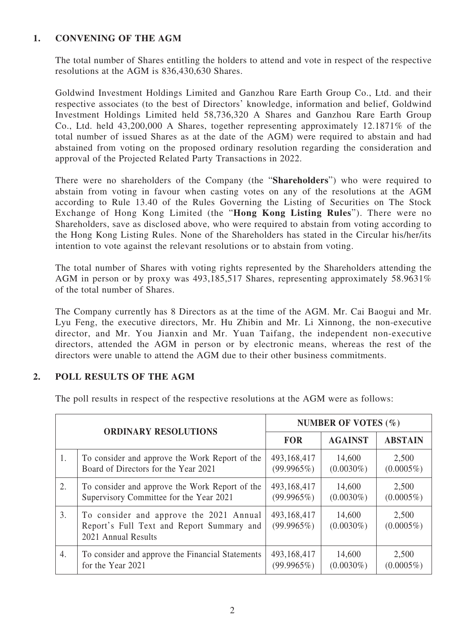# **1. CONVENING OF THE AGM**

The total number of Shares entitling the holders to attend and vote in respect of the respective resolutions at the AGM is 836,430,630 Shares.

Goldwind Investment Holdings Limited and Ganzhou Rare Earth Group Co., Ltd. and their respective associates (to the best of Directors' knowledge, information and belief, Goldwind Investment Holdings Limited held 58,736,320 A Shares and Ganzhou Rare Earth Group Co., Ltd. held 43,200,000 A Shares, together representing approximately 12.1871% of the total number of issued Shares as at the date of the AGM) were required to abstain and had abstained from voting on the proposed ordinary resolution regarding the consideration and approval of the Projected Related Party Transactions in 2022.

There were no shareholders of the Company (the "**Shareholders**") who were required to abstain from voting in favour when casting votes on any of the resolutions at the AGM according to Rule 13.40 of the Rules Governing the Listing of Securities on The Stock Exchange of Hong Kong Limited (the "**Hong Kong Listing Rules**"). There were no Shareholders, save as disclosed above, who were required to abstain from voting according to the Hong Kong Listing Rules. None of the Shareholders has stated in the Circular his/her/its intention to vote against the relevant resolutions or to abstain from voting.

The total number of Shares with voting rights represented by the Shareholders attending the AGM in person or by proxy was 493,185,517 Shares, representing approximately 58.9631% of the total number of Shares.

The Company currently has 8 Directors as at the time of the AGM. Mr. Cai Baogui and Mr. Lyu Feng, the executive directors, Mr. Hu Zhibin and Mr. Li Xinnong, the non-executive director, and Mr. You Jianxin and Mr. Yuan Taifang, the independent non-executive directors, attended the AGM in person or by electronic means, whereas the rest of the directors were unable to attend the AGM due to their other business commitments.

## **2. POLL RESULTS OF THE AGM**

The poll results in respect of the respective resolutions at the AGM were as follows:

| <b>ORDINARY RESOLUTIONS</b> |                                                                                                             | NUMBER OF VOTES $(\% )$   |                        |                       |
|-----------------------------|-------------------------------------------------------------------------------------------------------------|---------------------------|------------------------|-----------------------|
|                             |                                                                                                             | <b>FOR</b>                | <b>AGAINST</b>         | <b>ABSTAIN</b>        |
| 1.                          | To consider and approve the Work Report of the                                                              | 493,168,417               | 14,600                 | 2,500                 |
|                             | Board of Directors for the Year 2021                                                                        | (99.9965%)                | $(0.0030\%)$           | $(0.0005\%)$          |
| 2.                          | To consider and approve the Work Report of the                                                              | 493,168,417               | 14,600                 | 2,500                 |
|                             | Supervisory Committee for the Year 2021                                                                     | (99.9965%)                | $(0.0030\%)$           | $(0.0005\%)$          |
| 3.                          | To consider and approve the 2021 Annual<br>Report's Full Text and Report Summary and<br>2021 Annual Results | 493,168,417<br>(99.9965%) | 14,600<br>$(0.0030\%)$ | 2,500<br>$(0.0005\%)$ |
| 4.                          | To consider and approve the Financial Statements                                                            | 493,168,417               | 14,600                 | 2,500                 |
|                             | for the Year 2021                                                                                           | (99.9965%)                | $(0.0030\%)$           | $(0.0005\%)$          |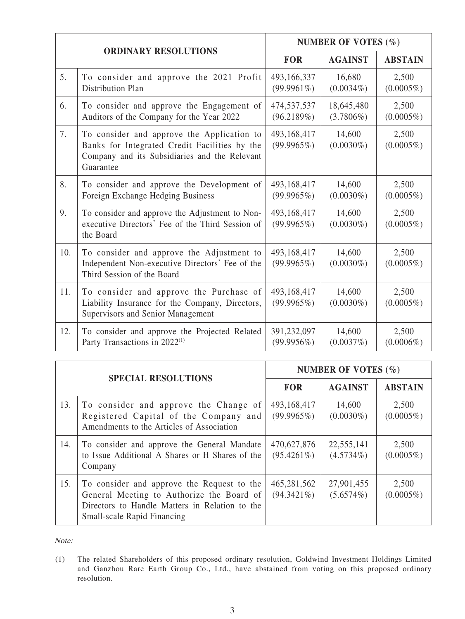| <b>ORDINARY RESOLUTIONS</b> |                                                                                                                                                           | <b>NUMBER OF VOTES (%)</b>   |                            |                       |
|-----------------------------|-----------------------------------------------------------------------------------------------------------------------------------------------------------|------------------------------|----------------------------|-----------------------|
|                             |                                                                                                                                                           | <b>FOR</b>                   | <b>AGAINST</b>             | <b>ABSTAIN</b>        |
| 5.                          | To consider and approve the 2021 Profit<br>Distribution Plan                                                                                              | 493,166,337<br>$(99.9961\%)$ | 16,680<br>$(0.0034\%)$     | 2,500<br>$(0.0005\%)$ |
| 6.                          | To consider and approve the Engagement of<br>Auditors of the Company for the Year 2022                                                                    | 474,537,537<br>(96.2189%)    | 18,645,480<br>$(3.7806\%)$ | 2,500<br>$(0.0005\%)$ |
| 7.                          | To consider and approve the Application to<br>Banks for Integrated Credit Facilities by the<br>Company and its Subsidiaries and the Relevant<br>Guarantee | 493,168,417<br>(99.9965%)    | 14,600<br>$(0.0030\%)$     | 2,500<br>$(0.0005\%)$ |
| 8.                          | To consider and approve the Development of<br>Foreign Exchange Hedging Business                                                                           | 493,168,417<br>(99.9965%)    | 14,600<br>$(0.0030\%)$     | 2,500<br>$(0.0005\%)$ |
| 9.                          | To consider and approve the Adjustment to Non-<br>executive Directors' Fee of the Third Session of<br>the Board                                           | 493,168,417<br>(99.9965%)    | 14,600<br>$(0.0030\%)$     | 2,500<br>$(0.0005\%)$ |
| 10.                         | To consider and approve the Adjustment to<br>Independent Non-executive Directors' Fee of the<br>Third Session of the Board                                | 493,168,417<br>(99.9965%)    | 14,600<br>$(0.0030\%)$     | 2,500<br>$(0.0005\%)$ |
| 11.                         | To consider and approve the Purchase of<br>Liability Insurance for the Company, Directors,<br>Supervisors and Senior Management                           | 493,168,417<br>(99.9965%)    | 14,600<br>$(0.0030\%)$     | 2,500<br>$(0.0005\%)$ |
| 12.                         | To consider and approve the Projected Related<br>Party Transactions in 2022 <sup>(1)</sup>                                                                | 391,232,097<br>(99.9956%)    | 14,600<br>(0.0037%)        | 2,500<br>$(0.0006\%)$ |

| <b>SPECIAL RESOLUTIONS</b> |                                                                                                                                                                                 | NUMBER OF VOTES $(\% )$      |                            |                       |
|----------------------------|---------------------------------------------------------------------------------------------------------------------------------------------------------------------------------|------------------------------|----------------------------|-----------------------|
|                            |                                                                                                                                                                                 | <b>FOR</b>                   | <b>AGAINST</b>             | <b>ABSTAIN</b>        |
| 13.                        | To consider and approve the Change of<br>Registered Capital of the Company and<br>Amendments to the Articles of Association                                                     | 493,168,417<br>(99.9965%)    | 14,600<br>$(0.0030\%)$     | 2,500<br>$(0.0005\%)$ |
| 14.                        | To consider and approve the General Mandate<br>to Issue Additional A Shares or H Shares of the<br>Company                                                                       | 470,627,876<br>$(95.4261\%)$ | 22,555,141<br>$(4.5734\%)$ | 2,500<br>$(0.0005\%)$ |
| 15.                        | To consider and approve the Request to the<br>General Meeting to Authorize the Board of<br>Directors to Handle Matters in Relation to the<br><b>Small-scale Rapid Financing</b> | 465,281,562<br>$(94.3421\%)$ | 27,901,455<br>(5.6574%)    | 2,500<br>$(0.0005\%)$ |

Note:

<sup>(1)</sup> The related Shareholders of this proposed ordinary resolution, Goldwind Investment Holdings Limited and Ganzhou Rare Earth Group Co., Ltd., have abstained from voting on this proposed ordinary resolution.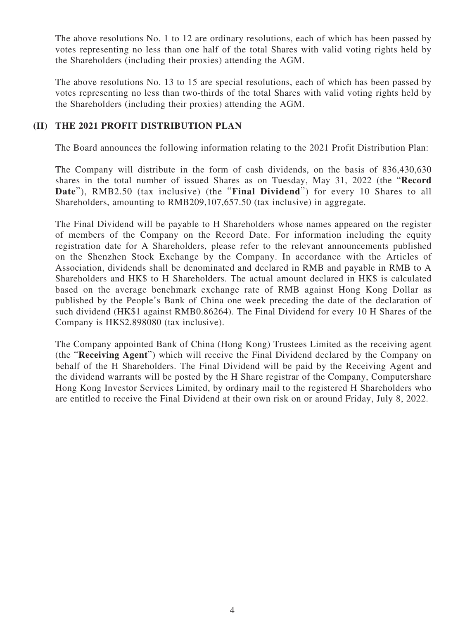The above resolutions No. 1 to 12 are ordinary resolutions, each of which has been passed by votes representing no less than one half of the total Shares with valid voting rights held by the Shareholders (including their proxies) attending the AGM.

The above resolutions No. 13 to 15 are special resolutions, each of which has been passed by votes representing no less than two-thirds of the total Shares with valid voting rights held by the Shareholders (including their proxies) attending the AGM.

#### **(II) THE 2021 PROFIT DISTRIBUTION PLAN**

The Board announces the following information relating to the 2021 Profit Distribution Plan:

The Company will distribute in the form of cash dividends, on the basis of 836,430,630 shares in the total number of issued Shares as on Tuesday, May 31, 2022 (the "**Record Date**"), RMB2.50 (tax inclusive) (the "**Final Dividend**") for every 10 Shares to all Shareholders, amounting to RMB209,107,657.50 (tax inclusive) in aggregate.

The Final Dividend will be payable to H Shareholders whose names appeared on the register of members of the Company on the Record Date. For information including the equity registration date for A Shareholders, please refer to the relevant announcements published on the Shenzhen Stock Exchange by the Company. In accordance with the Articles of Association, dividends shall be denominated and declared in RMB and payable in RMB to A Shareholders and HK\$ to H Shareholders. The actual amount declared in HK\$ is calculated based on the average benchmark exchange rate of RMB against Hong Kong Dollar as published by the People's Bank of China one week preceding the date of the declaration of such dividend (HK\$1 against RMB0.86264). The Final Dividend for every 10 H Shares of the Company is HK\$2.898080 (tax inclusive).

The Company appointed Bank of China (Hong Kong) Trustees Limited as the receiving agent (the "**Receiving Agent**") which will receive the Final Dividend declared by the Company on behalf of the H Shareholders. The Final Dividend will be paid by the Receiving Agent and the dividend warrants will be posted by the H Share registrar of the Company, Computershare Hong Kong Investor Services Limited, by ordinary mail to the registered H Shareholders who are entitled to receive the Final Dividend at their own risk on or around Friday, July 8, 2022.